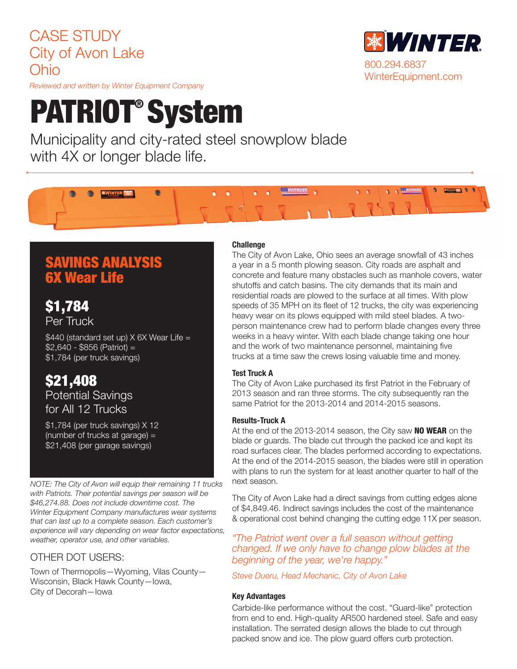## CASE STUDY City of Avon Lake Ohio

*Reviewed and written by Winter Equipment Company*

# PATRIOT® System

Municipality and city-rated steel snowplow blade with 4X or longer blade life.

## SAVINGS ANALYSIS 6X Wear Life

\$1,784 Per Truck

\$440 (standard set up) X 6X Wear Life = \$2,640 - \$856 (Patriot) = \$1,784 (per truck savings)

### \$21,408 Potential Savings for All 12 Trucks

\$1,784 (per truck savings) X 12 (number of trucks at garage) = \$21,408 (per garage savings)

*NOTE: The City of Avon will equip their remaining 11 trucks with Patriots. Their potential savings per season will be \$46,274.88. Does not include downtime cost. The Winter Equipment Company manufactures wear systems that can last up to a complete season. Each customer's experience will vary depending on wear factor expectations, weather, operator use, and other variables.* 

#### OTHER DOT USERS:

Town of Thermopolis—Wyoming, Vilas County— Wisconsin, Black Hawk County—Iowa, City of Decorah—Iowa

#### **Challenge**

The City of Avon Lake, Ohio sees an average snowfall of 43 inches a year in a 5 month plowing season. City roads are asphalt and concrete and feature many obstacles such as manhole covers, water shutoffs and catch basins. The city demands that its main and residential roads are plowed to the surface at all times. With plow speeds of 35 MPH on its fleet of 12 trucks, the city was experiencing heavy wear on its plows equipped with mild steel blades. A twoperson maintenance crew had to perform blade changes every three weeks in a heavy winter. With each blade change taking one hour and the work of two maintenance personnel, maintaining five trucks at a time saw the crews losing valuable time and money.

#### Test Truck A

The City of Avon Lake purchased its first Patriot in the February of 2013 season and ran three storms. The city subsequently ran the same Patriot for the 2013-2014 and 2014-2015 seasons.

#### Results-Truck A

At the end of the 2013-2014 season, the City saw **NO WEAR** on the blade or guards. The blade cut through the packed ice and kept its road surfaces clear. The blades performed according to expectations. At the end of the 2014-2015 season, the blades were still in operation with plans to run the system for at least another quarter to half of the next season.

The City of Avon Lake had a direct savings from cutting edges alone of \$4,849.46. Indirect savings includes the cost of the maintenance & operational cost behind changing the cutting edge 11X per season.

*"The Patriot went over a full season without getting changed. If we only have to change plow blades at the beginning of the year, we're happy."*

*Steve Dueru, Head Mechanic, City of Avon Lake*

#### Key Advantages

Carbide-like performance without the cost. "Guard-like" protection from end to end. High-quality AR500 hardened steel. Safe and easy installation. The serrated design allows the blade to cut through packed snow and ice. The plow guard offers curb protection.



**SWINTER TEL. 0**